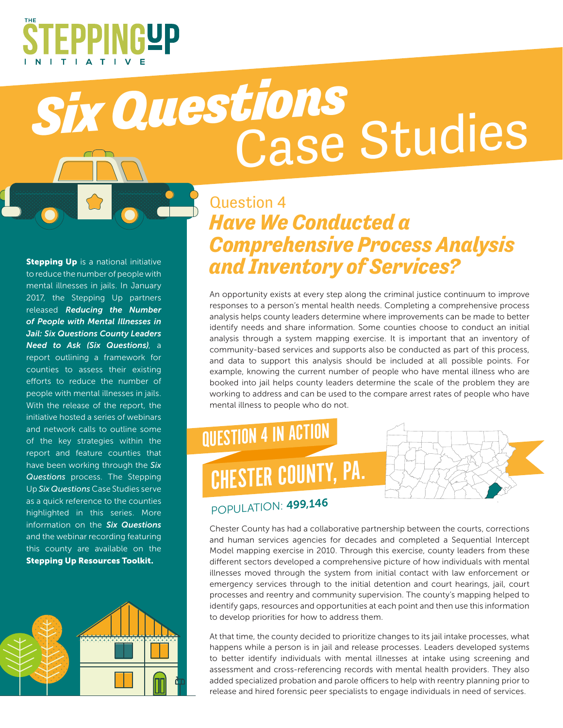

# *Six Questions* Case Studies

**Stepping Up** is a national initiative to reduce the number of people with mental illnesses in jails. In January 2017, the Stepping Up partners released *Reducing the Number of People with Mental Illnesses in Jail: Six Questions County Leaders Need to Ask (Six Questions)*, a report outlining a framework for counties to assess their existing efforts to reduce the number of people with mental illnesses in jails. With the release of the report, the initiative hosted a series of webinars and network calls to outline some of the key strategies within the report and feature counties that have been working through the *Six Questions* process. The Stepping Up *Six Questions* Case Studies serve as a quick reference to the counties highlighted in this series. More information on the *Six Questions*  and the webinar recording featuring this county are available on the Stepping Up Resources Toolkit.



#### Question 4 *Have We Conducted a Comprehensive Process Analysis and Inventory of Services?*

An opportunity exists at every step along the criminal justice continuum to improve responses to a person's mental health needs. Completing a comprehensive process analysis helps county leaders determine where improvements can be made to better identify needs and share information. Some counties choose to conduct an initial analysis through a system mapping exercise. It is important that an inventory of community-based services and supports also be conducted as part of this process, and data to support this analysis should be included at all possible points. For example, knowing the current number of people who have mental illness who are booked into jail helps county leaders determine the scale of the problem they are working to address and can be used to the compare arrest rates of people who have mental illness to people who do not.

## QUESTION 4 IN ACTION CHESTER COUNTY, PA.



#### POPULATION: 499,146

Chester County has had a collaborative partnership between the courts, corrections and human services agencies for decades and completed a Sequential Intercept Model mapping exercise in 2010. Through this exercise, county leaders from these different sectors developed a comprehensive picture of how individuals with mental illnesses moved through the system from initial contact with law enforcement or emergency services through to the initial detention and court hearings, jail, court processes and reentry and community supervision. The county's mapping helped to identify gaps, resources and opportunities at each point and then use this information to develop priorities for how to address them.

At that time, the county decided to prioritize changes to its jail intake processes, what happens while a person is in jail and release processes. Leaders developed systems to better identify individuals with mental illnesses at intake using screening and assessment and cross-referencing records with mental health providers. They also added specialized probation and parole officers to help with reentry planning prior to release and hired forensic peer specialists to engage individuals in need of services.